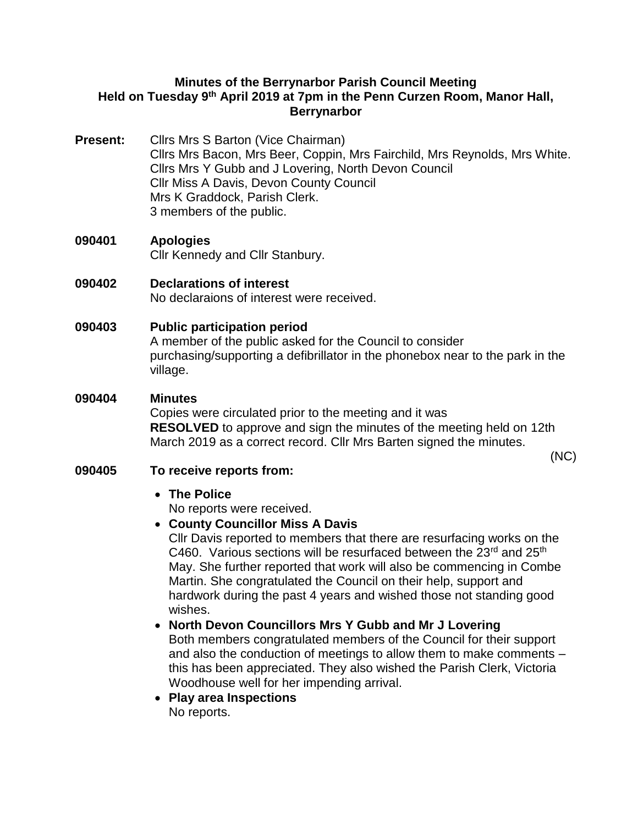## **Minutes of the Berrynarbor Parish Council Meeting Held on Tuesday 9th April 2019 at 7pm in the Penn Curzen Room, Manor Hall, Berrynarbor**

- **Present:** Cllrs Mrs S Barton (Vice Chairman) Cllrs Mrs Bacon, Mrs Beer, Coppin, Mrs Fairchild, Mrs Reynolds, Mrs White. Cllrs Mrs Y Gubb and J Lovering, North Devon Council Cllr Miss A Davis, Devon County Council Mrs K Graddock, Parish Clerk. 3 members of the public.
- **090401 Apologies**  Cllr Kennedy and Cllr Stanbury.

**090402 Declarations of interest** No declaraions of interest were received.

## **090403 Public participation period**

A member of the public asked for the Council to consider purchasing/supporting a defibrillator in the phonebox near to the park in the village.

#### **090404 Minutes**

Copies were circulated prior to the meeting and it was **RESOLVED** to approve and sign the minutes of the meeting held on 12th March 2019 as a correct record. Cllr Mrs Barten signed the minutes.

(NC)

## **090405 To receive reports from:**

• **The Police**

No reports were received.

## • **County Councillor Miss A Davis**

Cllr Davis reported to members that there are resurfacing works on the C460. Various sections will be resurfaced between the 23<sup>rd</sup> and 25<sup>th</sup> May. She further reported that work will also be commencing in Combe Martin. She congratulated the Council on their help, support and hardwork during the past 4 years and wished those not standing good wishes.

## • **North Devon Councillors Mrs Y Gubb and Mr J Lovering**

Both members congratulated members of the Council for their support and also the conduction of meetings to allow them to make comments – this has been appreciated. They also wished the Parish Clerk, Victoria Woodhouse well for her impending arrival.

• **Play area Inspections** No reports.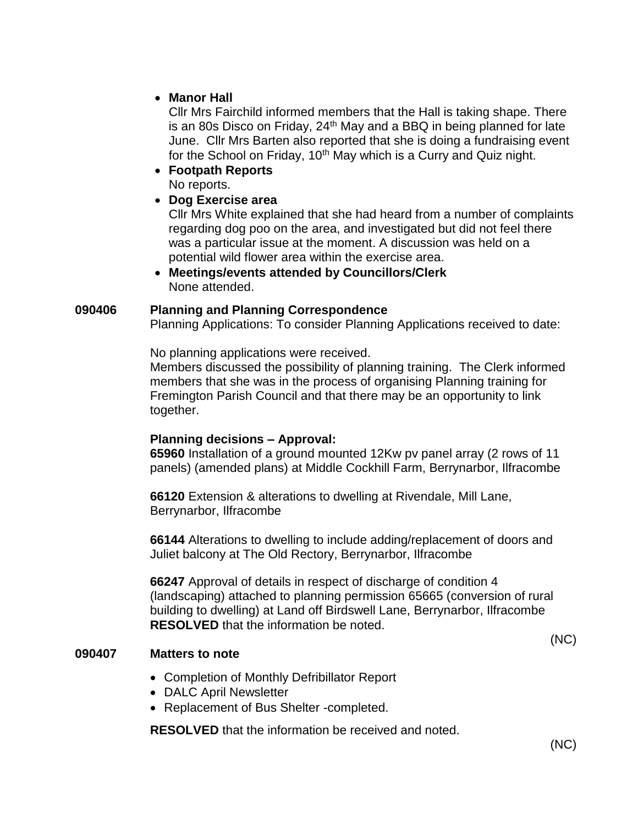## • **Manor Hall**

Cllr Mrs Fairchild informed members that the Hall is taking shape. There is an 80s Disco on Friday, 24<sup>th</sup> May and a BBQ in being planned for late June. Cllr Mrs Barten also reported that she is doing a fundraising event for the School on Friday,  $10<sup>th</sup>$  May which is a Curry and Quiz night.

- **Footpath Reports** 
	- No reports.
- **Dog Exercise area**

Cllr Mrs White explained that she had heard from a number of complaints regarding dog poo on the area, and investigated but did not feel there was a particular issue at the moment. A discussion was held on a potential wild flower area within the exercise area.

• **Meetings/events attended by Councillors/Clerk** None attended.

#### **090406 Planning and Planning Correspondence**

Planning Applications: To consider Planning Applications received to date:

No planning applications were received.

Members discussed the possibility of planning training. The Clerk informed members that she was in the process of organising Planning training for Fremington Parish Council and that there may be an opportunity to link together.

## **Planning decisions – Approval:**

**65960** Installation of a ground mounted 12Kw pv panel array (2 rows of 11 panels) (amended plans) at Middle Cockhill Farm, Berrynarbor, Ilfracombe

**66120** Extension & alterations to dwelling at Rivendale, Mill Lane, Berrynarbor, Ilfracombe

**66144** Alterations to dwelling to include adding/replacement of doors and Juliet balcony at The Old Rectory, Berrynarbor, Ilfracombe

**66247** Approval of details in respect of discharge of condition 4 (landscaping) attached to planning permission 65665 (conversion of rural building to dwelling) at Land off Birdswell Lane, Berrynarbor, Ilfracombe **RESOLVED** that the information be noted.

#### **090407 Matters to note**

- Completion of Monthly Defribillator Report
- DALC April Newsletter
- Replacement of Bus Shelter -completed.

**RESOLVED** that the information be received and noted.

(NC)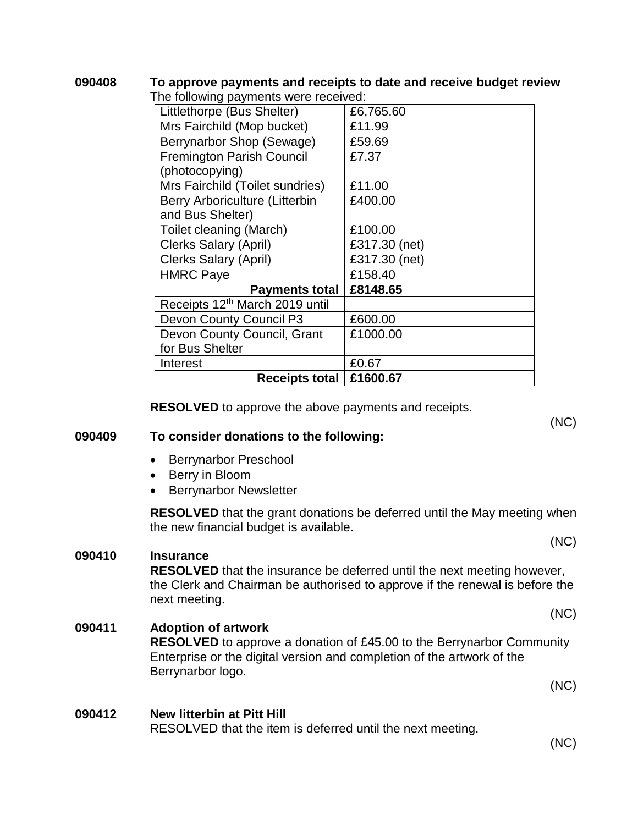| 090408 | To approve payments and receipts to date and receive budget review |
|--------|--------------------------------------------------------------------|
|        | The following payments were received:                              |

| <u>HIC TOITOWING PAYMICING WORD TOOCHVOU.</u><br>Littlethorpe (Bus Shelter) | £6,765.60     |
|-----------------------------------------------------------------------------|---------------|
| Mrs Fairchild (Mop bucket)                                                  | £11.99        |
| Berrynarbor Shop (Sewage)                                                   | £59.69        |
| <b>Fremington Parish Council</b>                                            | £7.37         |
| (photocopying)                                                              |               |
| Mrs Fairchild (Toilet sundries)                                             | £11.00        |
| Berry Arboriculture (Litterbin                                              | £400.00       |
| and Bus Shelter)                                                            |               |
| Toilet cleaning (March)                                                     | £100.00       |
| <b>Clerks Salary (April)</b>                                                | £317.30 (net) |
| <b>Clerks Salary (April)</b>                                                | £317.30 (net) |
| <b>HMRC Paye</b>                                                            | £158.40       |
| <b>Payments total</b>                                                       | £8148.65      |
| Receipts 12th March 2019 until                                              |               |
| Devon County Council P3                                                     | £600.00       |
| Devon County Council, Grant                                                 | £1000.00      |
| for Bus Shelter                                                             |               |
| Interest                                                                    | £0.67         |
| Receipts total                                                              | £1600.67      |

**RESOLVED** to approve the above payments and receipts.

#### **090409 To consider donations to the following:**

- Berrynarbor Preschool
- Berry in Bloom
- Berrynarbor Newsletter

**RESOLVED** that the grant donations be deferred until the May meeting when the new financial budget is available.

#### **090410 Insurance**

**RESOLVED** that the insurance be deferred until the next meeting however, the Clerk and Chairman be authorised to approve if the renewal is before the next meeting.

#### **090411 Adoption of artwork RESOLVED** to approve a donation of £45.00 to the Berrynarbor Community Enterprise or the digital version and completion of the artwork of the Berrynarbor logo. (NC)

# **090412 New litterbin at Pitt Hill**

RESOLVED that the item is deferred until the next meeting.

(NC)

(NC)

(NC)

(NC)